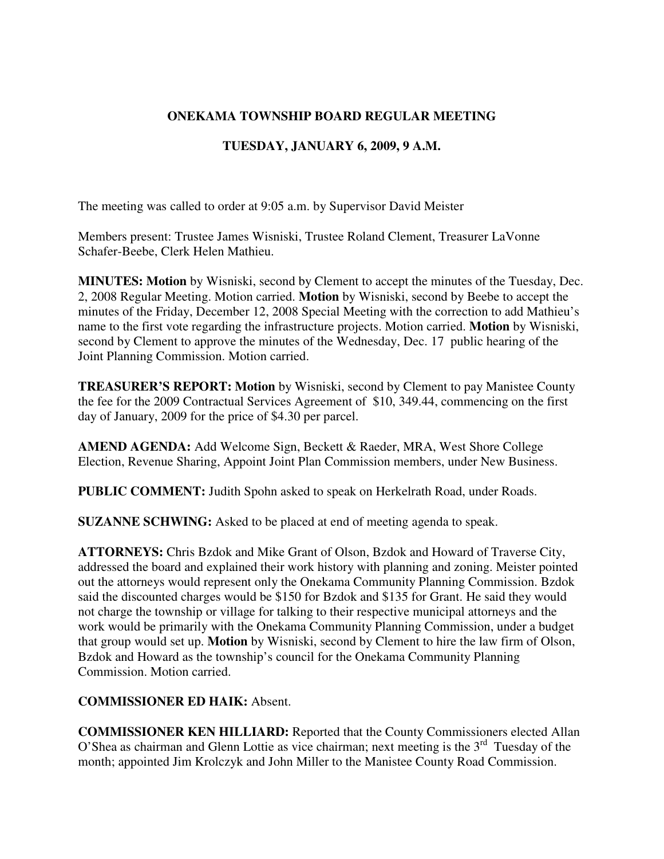## **ONEKAMA TOWNSHIP BOARD REGULAR MEETING**

## **TUESDAY, JANUARY 6, 2009, 9 A.M.**

The meeting was called to order at 9:05 a.m. by Supervisor David Meister

Members present: Trustee James Wisniski, Trustee Roland Clement, Treasurer LaVonne Schafer-Beebe, Clerk Helen Mathieu.

**MINUTES: Motion** by Wisniski, second by Clement to accept the minutes of the Tuesday, Dec. 2, 2008 Regular Meeting. Motion carried. **Motion** by Wisniski, second by Beebe to accept the minutes of the Friday, December 12, 2008 Special Meeting with the correction to add Mathieu's name to the first vote regarding the infrastructure projects. Motion carried. **Motion** by Wisniski, second by Clement to approve the minutes of the Wednesday, Dec. 17 public hearing of the Joint Planning Commission. Motion carried.

**TREASURER'S REPORT: Motion** by Wisniski, second by Clement to pay Manistee County the fee for the 2009 Contractual Services Agreement of \$10, 349.44, commencing on the first day of January, 2009 for the price of \$4.30 per parcel.

**AMEND AGENDA:** Add Welcome Sign, Beckett & Raeder, MRA, West Shore College Election, Revenue Sharing, Appoint Joint Plan Commission members, under New Business.

**PUBLIC COMMENT:** Judith Spohn asked to speak on Herkelrath Road, under Roads.

**SUZANNE SCHWING:** Asked to be placed at end of meeting agenda to speak.

**ATTORNEYS:** Chris Bzdok and Mike Grant of Olson, Bzdok and Howard of Traverse City, addressed the board and explained their work history with planning and zoning. Meister pointed out the attorneys would represent only the Onekama Community Planning Commission. Bzdok said the discounted charges would be \$150 for Bzdok and \$135 for Grant. He said they would not charge the township or village for talking to their respective municipal attorneys and the work would be primarily with the Onekama Community Planning Commission, under a budget that group would set up. **Motion** by Wisniski, second by Clement to hire the law firm of Olson, Bzdok and Howard as the township's council for the Onekama Community Planning Commission. Motion carried.

#### **COMMISSIONER ED HAIK:** Absent.

**COMMISSIONER KEN HILLIARD:** Reported that the County Commissioners elected Allan O'Shea as chairman and Glenn Lottie as vice chairman; next meeting is the  $3<sup>rd</sup>$  Tuesday of the month; appointed Jim Krolczyk and John Miller to the Manistee County Road Commission.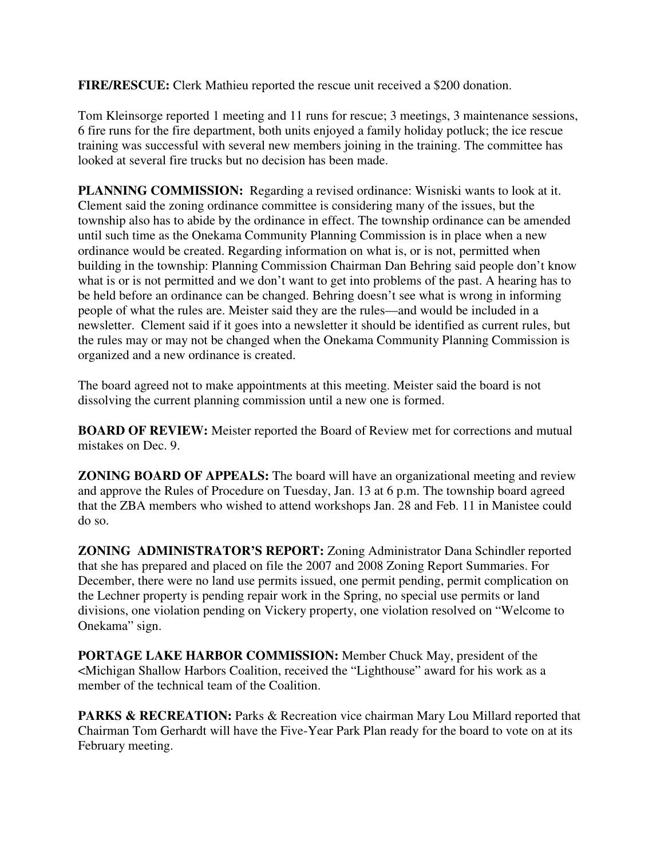**FIRE/RESCUE:** Clerk Mathieu reported the rescue unit received a \$200 donation.

Tom Kleinsorge reported 1 meeting and 11 runs for rescue; 3 meetings, 3 maintenance sessions, 6 fire runs for the fire department, both units enjoyed a family holiday potluck; the ice rescue training was successful with several new members joining in the training. The committee has looked at several fire trucks but no decision has been made.

**PLANNING COMMISSION:** Regarding a revised ordinance: Wisniski wants to look at it. Clement said the zoning ordinance committee is considering many of the issues, but the township also has to abide by the ordinance in effect. The township ordinance can be amended until such time as the Onekama Community Planning Commission is in place when a new ordinance would be created. Regarding information on what is, or is not, permitted when building in the township: Planning Commission Chairman Dan Behring said people don't know what is or is not permitted and we don't want to get into problems of the past. A hearing has to be held before an ordinance can be changed. Behring doesn't see what is wrong in informing people of what the rules are. Meister said they are the rules—and would be included in a newsletter. Clement said if it goes into a newsletter it should be identified as current rules, but the rules may or may not be changed when the Onekama Community Planning Commission is organized and a new ordinance is created.

The board agreed not to make appointments at this meeting. Meister said the board is not dissolving the current planning commission until a new one is formed.

**BOARD OF REVIEW:** Meister reported the Board of Review met for corrections and mutual mistakes on Dec. 9.

**ZONING BOARD OF APPEALS:** The board will have an organizational meeting and review and approve the Rules of Procedure on Tuesday, Jan. 13 at 6 p.m. The township board agreed that the ZBA members who wished to attend workshops Jan. 28 and Feb. 11 in Manistee could do so.

**ZONING ADMINISTRATOR'S REPORT:** Zoning Administrator Dana Schindler reported that she has prepared and placed on file the 2007 and 2008 Zoning Report Summaries. For December, there were no land use permits issued, one permit pending, permit complication on the Lechner property is pending repair work in the Spring, no special use permits or land divisions, one violation pending on Vickery property, one violation resolved on "Welcome to Onekama" sign.

**PORTAGE LAKE HARBOR COMMISSION:** Member Chuck May, president of the <Michigan Shallow Harbors Coalition, received the "Lighthouse" award for his work as a member of the technical team of the Coalition.

**PARKS & RECREATION:** Parks & Recreation vice chairman Mary Lou Millard reported that Chairman Tom Gerhardt will have the Five-Year Park Plan ready for the board to vote on at its February meeting.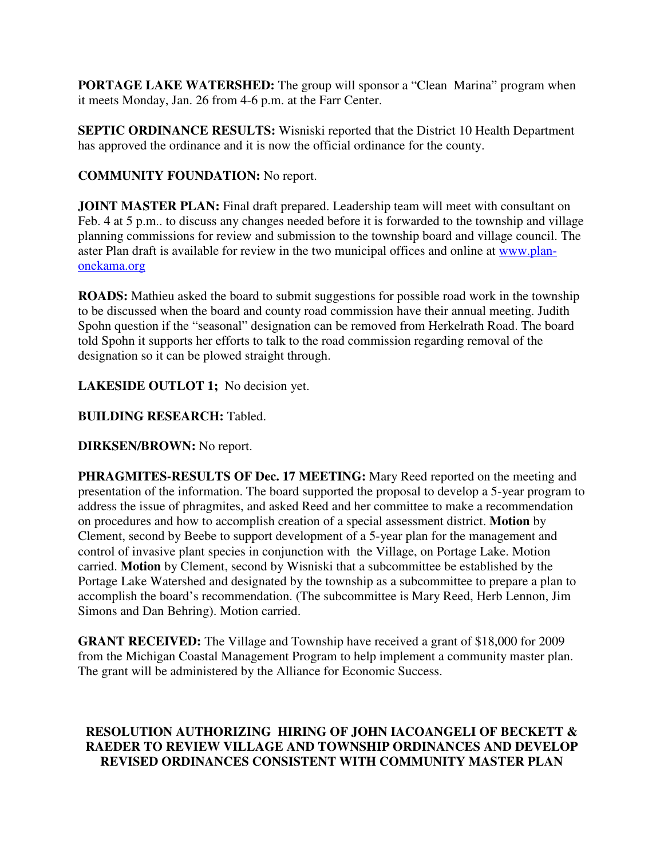**PORTAGE LAKE WATERSHED:** The group will sponsor a "Clean Marina" program when it meets Monday, Jan. 26 from 4-6 p.m. at the Farr Center.

**SEPTIC ORDINANCE RESULTS:** Wisniski reported that the District 10 Health Department has approved the ordinance and it is now the official ordinance for the county.

# **COMMUNITY FOUNDATION:** No report.

**JOINT MASTER PLAN:** Final draft prepared. Leadership team will meet with consultant on Feb. 4 at 5 p.m.. to discuss any changes needed before it is forwarded to the township and village planning commissions for review and submission to the township board and village council. The aster Plan draft is available for review in the two municipal offices and online at www.planonekama.org

**ROADS:** Mathieu asked the board to submit suggestions for possible road work in the township to be discussed when the board and county road commission have their annual meeting. Judith Spohn question if the "seasonal" designation can be removed from Herkelrath Road. The board told Spohn it supports her efforts to talk to the road commission regarding removal of the designation so it can be plowed straight through.

LAKESIDE OUTLOT 1; No decision yet.

**BUILDING RESEARCH:** Tabled.

**DIRKSEN/BROWN:** No report.

**PHRAGMITES-RESULTS OF Dec. 17 MEETING:** Mary Reed reported on the meeting and presentation of the information. The board supported the proposal to develop a 5-year program to address the issue of phragmites, and asked Reed and her committee to make a recommendation on procedures and how to accomplish creation of a special assessment district. **Motion** by Clement, second by Beebe to support development of a 5-year plan for the management and control of invasive plant species in conjunction with the Village, on Portage Lake. Motion carried. **Motion** by Clement, second by Wisniski that a subcommittee be established by the Portage Lake Watershed and designated by the township as a subcommittee to prepare a plan to accomplish the board's recommendation. (The subcommittee is Mary Reed, Herb Lennon, Jim Simons and Dan Behring). Motion carried.

**GRANT RECEIVED:** The Village and Township have received a grant of \$18,000 for 2009 from the Michigan Coastal Management Program to help implement a community master plan. The grant will be administered by the Alliance for Economic Success.

## **RESOLUTION AUTHORIZING HIRING OF JOHN IACOANGELI OF BECKETT & RAEDER TO REVIEW VILLAGE AND TOWNSHIP ORDINANCES AND DEVELOP REVISED ORDINANCES CONSISTENT WITH COMMUNITY MASTER PLAN**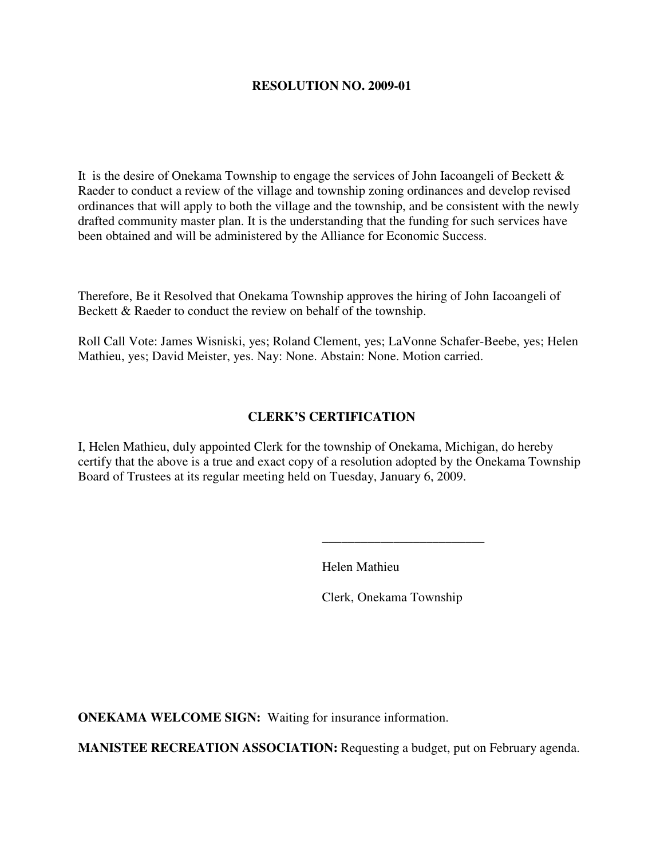#### **RESOLUTION NO. 2009-01**

It is the desire of Onekama Township to engage the services of John Iacoangeli of Beckett  $\&$ Raeder to conduct a review of the village and township zoning ordinances and develop revised ordinances that will apply to both the village and the township, and be consistent with the newly drafted community master plan. It is the understanding that the funding for such services have been obtained and will be administered by the Alliance for Economic Success.

Therefore, Be it Resolved that Onekama Township approves the hiring of John Iacoangeli of Beckett & Raeder to conduct the review on behalf of the township.

Roll Call Vote: James Wisniski, yes; Roland Clement, yes; LaVonne Schafer-Beebe, yes; Helen Mathieu, yes; David Meister, yes. Nay: None. Abstain: None. Motion carried.

#### **CLERK'S CERTIFICATION**

I, Helen Mathieu, duly appointed Clerk for the township of Onekama, Michigan, do hereby certify that the above is a true and exact copy of a resolution adopted by the Onekama Township Board of Trustees at its regular meeting held on Tuesday, January 6, 2009.

Helen Mathieu

Clerk, Onekama Township

**ONEKAMA WELCOME SIGN:** Waiting for insurance information.

 $\frac{1}{2}$  , and the contract of the contract of the contract of the contract of the contract of the contract of the contract of the contract of the contract of the contract of the contract of the contract of the contract

**MANISTEE RECREATION ASSOCIATION:** Requesting a budget, put on February agenda.